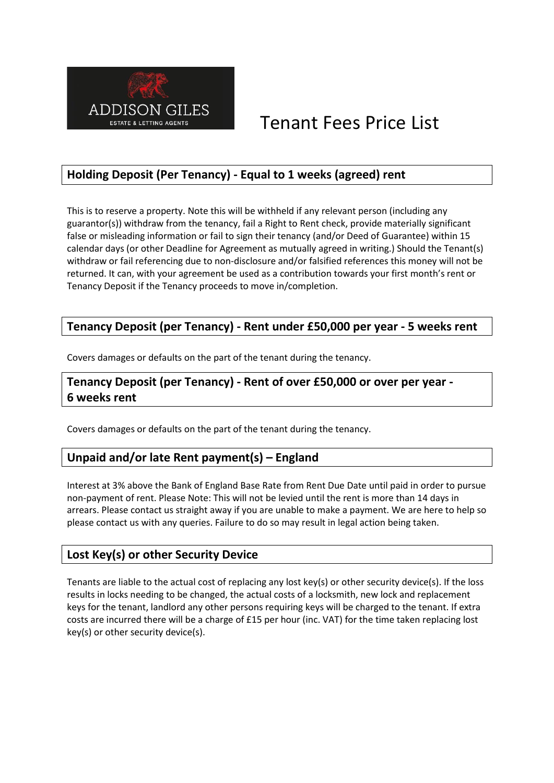

# Tenant Fees Price List

# **Holding Deposit (Per Tenancy) - Equal to 1 weeks (agreed) rent**

This is to reserve a property. Note this will be withheld if any relevant person (including any guarantor(s)) withdraw from the tenancy, fail a Right to Rent check, provide materially significant false or misleading information or fail to sign their tenancy (and/or Deed of Guarantee) within 15 calendar days (or other Deadline for Agreement as mutually agreed in writing.) Should the Tenant(s) withdraw or fail referencing due to non-disclosure and/or falsified references this money will not be returned. It can, with your agreement be used as a contribution towards your first month's rent or Tenancy Deposit if the Tenancy proceeds to move in/completion.

#### **Tenancy Deposit (per Tenancy) - Rent under £50,000 per year - 5 weeks rent**

Covers damages or defaults on the part of the tenant during the tenancy.

### **Tenancy Deposit (per Tenancy) - Rent of over £50,000 or over per year - 6 weeks rent**

Covers damages or defaults on the part of the tenant during the tenancy.

# **Unpaid and/or late Rent payment(s) – England**

Interest at 3% above the Bank of England Base Rate from Rent Due Date until paid in order to pursue non-payment of rent. Please Note: This will not be levied until the rent is more than 14 days in arrears. Please contact us straight away if you are unable to make a payment. We are here to help so please contact us with any queries. Failure to do so may result in legal action being taken.

#### **Lost Key(s) or other Security Device**

Tenants are liable to the actual cost of replacing any lost key(s) or other security device(s). If the loss results in locks needing to be changed, the actual costs of a locksmith, new lock and replacement keys for the tenant, landlord any other persons requiring keys will be charged to the tenant. If extra costs are incurred there will be a charge of £15 per hour (inc. VAT) for the time taken replacing lost key(s) or other security device(s).